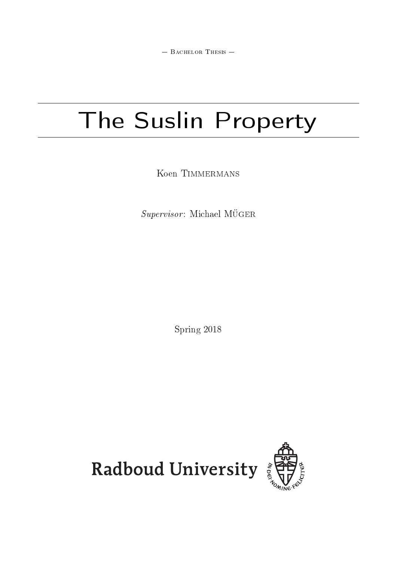$-$  BACHELOR THESIS  $-$ 

# The Suslin Property

Koen TIMMERMANS

 $\it Supervisor$  : Michael MÜGER

Spring 2018

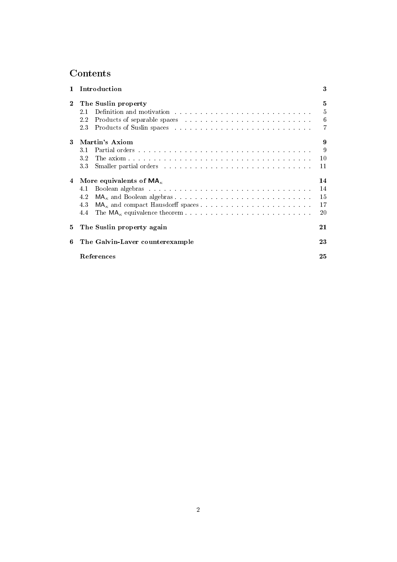## Contents

| $\mathbf{1}$ | Introduction                                                                                                                                                                                                                                                                                                                                                                                                                                                                                          | 3                          |
|--------------|-------------------------------------------------------------------------------------------------------------------------------------------------------------------------------------------------------------------------------------------------------------------------------------------------------------------------------------------------------------------------------------------------------------------------------------------------------------------------------------------------------|----------------------------|
| $\bf{2}$     | The Suslin property<br>Definition and motivation with a subsequently and the set of the set of the set of the set of the set of the set of the set of the set of the set of the set of the set of the set of the set of the set of the set of the set<br>2.1<br>Products of separable spaces entering the set of the set of the space of separable space in the set of the set of the set of the set of the set of the set of the set of the set of the set of the set of the set of the set o<br>2.2 | 5<br>$\overline{5}$<br>6   |
|              | 2.3                                                                                                                                                                                                                                                                                                                                                                                                                                                                                                   | 7                          |
| 3            | Martin's Axiom<br>31<br>3.2<br>Smaller partial orders entering the state of the state of the state of the state of the state of the state of the state of the state of the state of the state of the state of the state of the state of the state of the stat<br>33                                                                                                                                                                                                                                   | 9<br>9<br>10<br>11         |
| 4            | More equivalents of $MA_{\kappa}$<br>4.1<br>4.2<br>4.3<br>The $MA_{\kappa}$ equivalence theorem.<br>4.4                                                                                                                                                                                                                                                                                                                                                                                               | 14<br>14<br>15<br>17<br>20 |
| 5            | The Suslin property again                                                                                                                                                                                                                                                                                                                                                                                                                                                                             | 21                         |
| 6            | The Galvin-Laver counterexample                                                                                                                                                                                                                                                                                                                                                                                                                                                                       | 23                         |
|              | References                                                                                                                                                                                                                                                                                                                                                                                                                                                                                            | 25                         |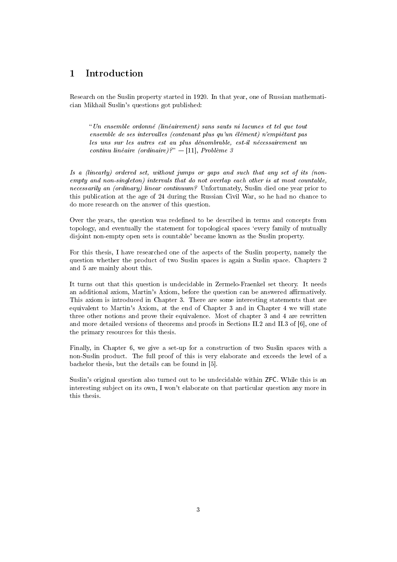## 1 Introduction

Research on the Suslin property started in 1920. In that year, one of Russian mathematician Mikhail Suslin's questions got published:

Un ensemble ordonne (lineairement) sans sauts ni lacunes et tel que tout ensemble de ses intervalles (contenant plus qu'un élément) n'empiétant pas les uns sur les autres est au plus dénombrable, est-il nécessairement un continu linéaire (ordinaire)?"  $-$ [11], Problème 3

Is a (linearly) ordered set, without jumps or gaps and such that any set of its (nonempty and non-singleton) intervals that do not overlap each other is at most countable, necessarily an (ordinary) linear continuum? Unfortunately, Suslin died one year prior to this publication at the age of 24 during the Russian Civil War, so he had no chance to do more research on the answer of this question.

Over the years, the question was redened to be described in terms and concepts from topology, and eventually the statement for topological spaces `every family of mutually disjoint non-empty open sets is countable' became known as the Suslin property.

For this thesis, I have researched one of the aspects of the Suslin property, namely the question whether the product of two Suslin spaces is again a Suslin space. Chapters 2 and 5 are mainly about this.

It turns out that this question is undecidable in Zermelo-Fraenkel set theory. It needs an additional axiom, Martin's Axiom, before the question can be answered affirmatively. This axiom is introduced in Chapter 3. There are some interesting statements that are equivalent to Martin's Axiom, at the end of Chapter 3 and in Chapter 4 we will state three other notions and prove their equivalence. Most of chapter 3 and 4 are rewritten and more detailed versions of theorems and proofs in Sections II.2 and II.3 of [6], one of the primary resources for this thesis.

Finally, in Chapter 6, we give a set-up for a construction of two Suslin spaces with a non-Suslin product. The full proof of this is very elaborate and exceeds the level of a bachelor thesis, but the details can be found in [5].

Suslin's original question also turned out to be undecidable within ZFC. While this is an interesting subject on its own, I won't elaborate on that particular question any more in this thesis.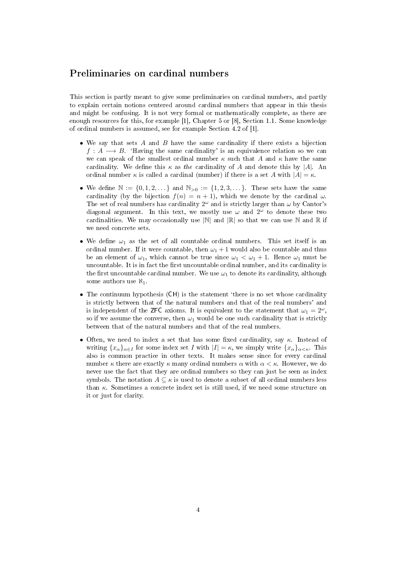## Preliminaries on cardinal numbers

This section is partly meant to give some preliminaries on cardinal numbers, and partly to explain certain notions centered around cardinal numbers that appear in this thesis and might be confusing. It is not very formal or mathematically complete, as there are enough resources for this, for example [1], Chapter 5 or [8], Section 1.1. Some knowledge of ordinal numbers is assumed, see for example Section 4.2 of [1].

- We say that sets  $A$  and  $B$  have the same cardinality if there exists a bijection  $f: A \longrightarrow B$ . 'Having the same cardinality' is an equivalence relation so we can we can speak of the smallest ordinal number  $\kappa$  such that A and  $\kappa$  have the same cardinality. We define this  $\kappa$  as the cardinality of A and denote this by |A|. An ordinal number  $\kappa$  is called a cardinal (number) if there is a set A with  $|A| = \kappa$ .
- We define  $\mathbb{N} := \{0, 1, 2, \dots\}$  and  $\mathbb{N}_{>0} := \{1, 2, 3, \dots\}$ . These sets have the same cardinality (by the bijection  $f(n) = n + 1$ ), which we denote by the cardinal  $\omega$ . The set of real numbers has cardinality  $2^{\omega}$  and is strictly larger than  $\omega$  by Cantor's diagonal argument. In this text, we mostly use  $\omega$  and  $2^{\omega}$  to denote these two cardinalities. We may occasionally use  $|\mathbb{N}|$  and  $|\mathbb{R}|$  so that we can use  $\mathbb N$  and  $\mathbb R$  if we need concrete sets.
- We define  $\omega_1$  as the set of all countable ordinal numbers. This set itself is an ordinal number. If it were countable, then  $\omega_1 + 1$  would also be countable and thus be an element of  $\omega_1$ , which cannot be true since  $\omega_1 < \omega_1 + 1$ . Hence  $\omega_1$  must be uncountable. It is in fact the first uncountable ordinal number, and its cardinality is the first uncountable cardinal number. We use  $\omega_1$  to denote its cardinality, although some authors use  $\aleph_1$ .
- The continuum hypothesis (CH) is the statement 'there is no set whose cardinality is strictly between that of the natural numbers and that of the real numbers' and is independent of the ZFC axioms. It is equivalent to the statement that  $\omega_1 = 2^{\omega}$ , so if we assume the converse, then  $\omega_1$  would be one such cardinality that is strictly between that of the natural numbers and that of the real numbers.
- Often, we need to index a set that has some fixed cardinality, say  $\kappa$ . Instead of writing  $\{x_\alpha\}_{\alpha\in I}$  for some index set I with  $|I| = \kappa$ , we simply write  $\{x_\alpha\}_{\alpha\leq \kappa}$ . This also is common practice in other texts. It makes sense since for every cardinal number  $\kappa$  there are exactly  $\kappa$  many ordinal numbers  $\alpha$  with  $\alpha < \kappa$ . However, we do never use the fact that they are ordinal numbers so they can just be seen as index symbols. The notation  $A \subseteq \kappa$  is used to denote a subset of all ordinal numbers less than  $\kappa$ . Sometimes a concrete index set is still used, if we need some structure on it or just for clarity.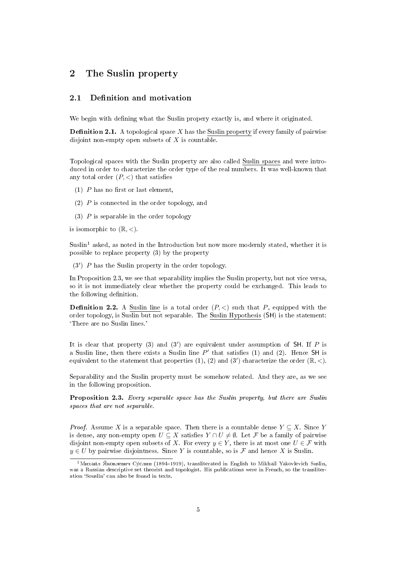## 2 The Suslin property

#### 2.1 Definition and motivation

We begin with defining what the Suslin propery exactly is, and where it originated.

**Definition 2.1.** A topological space X has the Suslin property if every family of pairwise disjoint non-empty open subsets of  $X$  is countable.

Topological spaces with the Suslin property are also called Suslin spaces and were introduced in order to characterize the order type of the real numbers. It was well-known that any total order  $(P, \leq)$  that satisfies

- $(1)$  P has no first or last element,
- (2) P is connected in the order topology, and
- (3)  $P$  is separable in the order topology

is isomorphic to  $(\mathbb{R}, \leq)$ .

 $S$ uslin<sup>1</sup> asked, as noted in the Introduction but now more modernly stated, whether it is possible to replace property (3) by the property

 $(3')$  P has the Suslin property in the order topology.

In Proposition 2.3, we see that separability implies the Suslin property, but not vice versa, so it is not immediately clear whether the property could be exchanged. This leads to the following definition.

**Definition 2.2.** A Suslin line is a total order  $(P, \leq)$  such that P, equipped with the order topology, is Suslin but not separable. The Suslin Hypothesis (SH) is the statement: `There are no Suslin lines.'

It is clear that property (3) and (3') are equivalent under assumption of SH. If  $P$  is a Suslin line, then there exists a Suslin line  $P'$  that satisfies (1) and (2). Hence SH is equivalent to the statement that properties (1), (2) and (3') characterize the order  $(\mathbb{R}, <)$ .

Separability and the Suslin property must be somehow related. And they are, as we see in the following proposition.

Proposition 2.3. Every separable space has the Suslin property, but there are Suslin spaces that are not separable.

*Proof.* Assume X is a separable space. Then there is a countable dense  $Y \subseteq X$ . Since Y is dense, any non-empty open  $U \subseteq X$  satisfies  $Y \cap U \neq \emptyset$ . Let F be a family of pairwise disjoint non-empty open subsets of X. For every  $y \in Y$ , there is at most one  $U \in \mathcal{F}$  with  $y \in U$  by pairwise disjointness. Since Y is countable, so is F and hence X is Suslin.

<sup>&</sup>lt;sup>1</sup>Михаи́л Я́ковлевич Су́слин (1894-1919), transliterated in English to Mikhail Yakovlevich Suslin, was a Russian descriptive set theorist and topologist. His publications were in French, so the transliteration 'Souslin' can also be found in texts.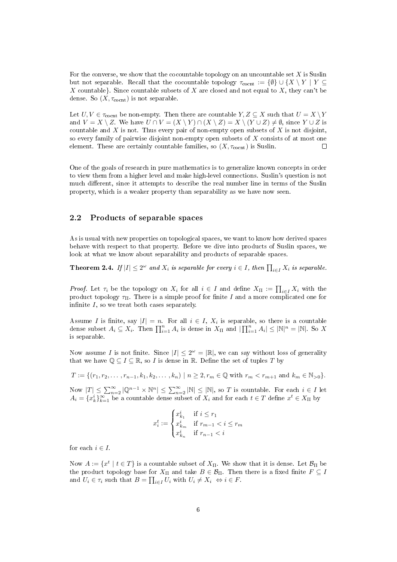For the converse, we show that the cocountable topology on an uncountable set  $X$  is Suslin but not separable. Recall that the cocountable topology  $\tau_{\text{cocnt}} := \{\emptyset\} \cup \{X \setminus Y \mid Y \subseteq$ X countable}. Since countable subsets of X are closed and not equal to  $X$ , they can't be dense. So  $(X, \tau_{\text{cocnt}})$  is not separable.

Let  $U, V \in \tau_{\text{coent}}$  be non-empty. Then there are countable  $Y, Z \subseteq X$  such that  $U = X \setminus Y$ and  $V = X \setminus Z$ . We have  $U \cap V = (X \setminus Y) \cap (X \setminus Z) = X \setminus (Y \cup Z) \neq \emptyset$ , since  $Y \cup Z$  is countable and  $X$  is not. Thus every pair of non-empty open subsets of  $X$  is not disjoint, so every family of pairwise disjoint non-empty open subsets of X consists of at most one element. These are certainly countable families, so  $(X, \tau_{\text{coent}})$  is Suslin.  $\Box$ 

One of the goals of research in pure mathematics is to generalize known concepts in order to view them from a higher level and make high-level connections. Suslin's question is not much different, since it attempts to describe the real number line in terms of the Suslin property, which is a weaker property than separability as we have now seen.

#### 2.2 Products of separable spaces

As is usual with new properties on topological spaces, we want to know how derived spaces behave with respect to that property. Before we dive into products of Suslin spaces, we look at what we know about separability and products of separable spaces.

**Theorem 2.4.** If  $|I| \leq 2^{\omega}$  and  $X_i$  is separable for every  $i \in I$ , then  $\prod_{i \in I} X_i$  is separable.

*Proof.* Let  $\tau_i$  be the topology on  $X_i$  for all  $i \in I$  and define  $X_{\Pi} := \prod_{i \in I} X_i$  with the product topology  $\tau_{\Pi}$ . There is a simple proof for finite I and a more complicated one for infinite  $I$ , so we treat both cases separately.

Assume I is finite, say  $|I| = n$ . For all  $i \in I$ ,  $X_i$  is separable, so there is a countable dense subset  $A_i \subseteq X_i$ . Then  $\prod_{i=1}^n A_i$  is dense in  $X_{\Pi}$  and  $|\prod_{i=1}^n A_i| \leq |\mathbb{N}|^n = |\mathbb{N}|$ . So X is separable.

Now assume I is not finite. Since  $|I| \leq 2^{\omega} = |\mathbb{R}|$ , we can say without loss of generality that we have  $\mathbb{Q} \subseteq I \subseteq \mathbb{R}$ , so I is dense in  $\mathbb{R}$ . Define the set of tuples T by

$$
T := \{ (r_1, r_2, \dots, r_{n-1}, k_1, k_2, \dots, k_n) \mid n \ge 2, r_m \in \mathbb{Q} \text{ with } r_m < r_{m+1} \text{ and } k_m \in \mathbb{N}_{>0} \}.
$$

Now  $|T| \leq \sum_{n=2}^{\infty} |Q^{n-1} \times \mathbb{N}^n| \leq \sum_{n=2}^{\infty} |\mathbb{N}| \leq |\mathbb{N}|$ , so T is countable. For each  $i \in I$  let  $A_i = \{x_k^i\}_{k=1}^\infty$  be a countable dense subset of  $X_i$  and for each  $t \in T$  define  $x^t \in X_\Pi$  by

$$
x_i^t:=\begin{cases} x_{k_1}^i&\text{if }i\leq r_1\\ x_{k_m}^i&\text{if }r_{m-1}
$$

for each  $i \in I$ .

Now  $A := \{x^t \mid t \in T\}$  is a countable subset of  $X_{\Pi}$ . We show that it is dense. Let  $\mathcal{B}_{\Pi}$  be the product topology base for  $X_{\Pi}$  and take  $B \in \mathcal{B}_{\Pi}$ . Then there is a fixed finite  $F \subseteq I$ and  $U_i \in \tau_i$  such that  $B = \prod_{i \in I} U_i$  with  $U_i \neq X_i \Leftrightarrow i \in F$ .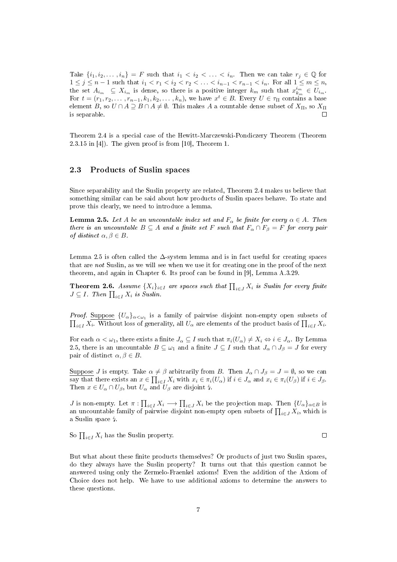Take  $\{i_1, i_2, \ldots, i_n\} = F$  such that  $i_1 < i_2 < \ldots < i_n$ . Then we can take  $r_j \in \mathbb{Q}$  for  $1 \leq j \leq n-1$  such that  $i_1 < r_1 < i_2 < r_2 < \ldots < i_{n-1} < r_{n-1} < i_n$ . For all  $1 \leq m \leq n$ , the set  $A_{i_m} \subseteq X_{i_m}$  is dense, so there is a positive integer  $k_m$  such that  $x_{k_m}^{i_m} \in U_{i_m}$ . For  $t = (r_1, r_2, \ldots, r_{n-1}, k_1, k_2, \ldots, k_n)$ , we have  $x^t \in B$ . Every  $U \in \tau_{\Pi}$  contains a base element B, so  $U \cap A \supseteq B \cap A \neq \emptyset$ . This makes A a countable dense subset of  $X_{\Pi}$ , so  $X_{\Pi}$ is separable.

Theorem 2.4 is a special case of the Hewitt-Marczewski-Pondiczery Theorem (Theorem 2.3.15 in [4]). The given proof is from [10], Theorem 1.

#### 2.3 Products of Suslin spaces

Since separability and the Suslin property are related, Theorem 2.4 makes us believe that something similar can be said about how products of Suslin spaces behave. To state and prove this clearly, we need to introduce a lemma.

**Lemma 2.5.** Let A be an uncountable index set and  $F_{\alpha}$  be finite for every  $\alpha \in A$ . Then there is an uncountable  $B \subseteq A$  and a finite set F such that  $F_{\alpha} \cap F_{\beta} = F$  for every pair of distinct  $\alpha, \beta \in B$ .

Lemma 2.5 is often called the  $\Delta$ -system lemma and is in fact useful for creating spaces that are not Suslin, as we will see when we use it for creating one in the proof of the next theorem, and again in Chapter 6. Its proof can be found in [9], Lemma A.3.29.

**Theorem 2.6.** Assume  $\{X_i\}_{i\in I}$  are spaces such that  $\prod_{i\in J} X_i$  is Suslin for every finite  $J \subseteq I$ . Then  $\prod_{i \in I} X_i$  is Suslin.

*Proof.* Suppose  $\{U_{\alpha}\}_{{\alpha<{\omega_1}}}$  is a family of pairwise disjoint non-empty open subsets of  $\prod_{i\in I} X_i$ . Without loss of generality, all  $U_\alpha$  are elements of the product basis of  $\prod_{i\in I} X_i$ .

For each  $\alpha < \omega_1$ , there exists a finite  $J_\alpha \subseteq I$  such that  $\pi_i(U_\alpha) \neq X_i \Leftrightarrow i \in J_\alpha$ . By Lemma 2.5, there is an uncountable  $B \subseteq \omega_1$  and a finite  $J \subseteq I$  such that  $J_\alpha \cap J_\beta = J$  for every pair of distinct  $\alpha, \beta \in B$ .

Suppose J is empty. Take  $\alpha \neq \beta$  arbitrarily from B. Then  $J_{\alpha} \cap J_{\beta} = J = \emptyset$ , so we can say that there exists an  $x \in \prod_{i \in I} X_i$  with  $x_i \in \pi_i(U_\alpha)$  if  $i \in J_\alpha$  and  $x_i \in \pi_i(U_\beta)$  if  $i \in J_\beta$ . Then  $x \in U_\alpha \cap U_\beta$ , but  $U_\alpha$  and  $U_\beta$  are disjoint  $\sharp$ .

*J* is non-empty. Let  $\pi: \prod_{i\in I} X_i \longrightarrow \prod_{i\in J} X_i$  be the projection map. Then  $\{U_\alpha\}_{\alpha\in B}$  is an uncountable family of pairwise disjoint non-empty open subsets of  $\prod_{i\in J} X_i$ , which is a Suslin space  $\frac{1}{4}$ .

So  $\prod_{i\in I} X_i$  has the Suslin property.

 $\Box$ 

But what about these finite products themselves? Or products of just two Suslin spaces, do they always have the Suslin property? It turns out that this question cannot be answered using only the Zermelo-Fraenkel axioms! Even the addition of the Axiom of Choice does not help. We have to use additional axioms to determine the answers to these questions.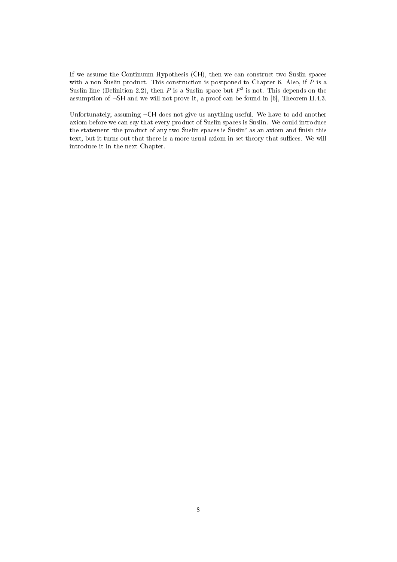If we assume the Continuum Hypothesis (CH), then we can construct two Suslin spaces with a non-Suslin product. This construction is postponed to Chapter 6. Also, if P is a Suslin line (Definition 2.2), then P is a Suslin space but  $P^2$  is not. This depends on the assumption of  $\neg$ SH and we will not prove it, a proof can be found in [6], Theorem II.4.3.

Unfortunately, assuming  $\neg$ CH does not give us anything useful. We have to add another axiom before we can say that every product of Suslin spaces is Suslin. We could introduce the statement 'the product of any two Suslin spaces is Suslin' as an axiom and finish this text, but it turns out that there is a more usual axiom in set theory that suffices. We will introduce it in the next Chapter.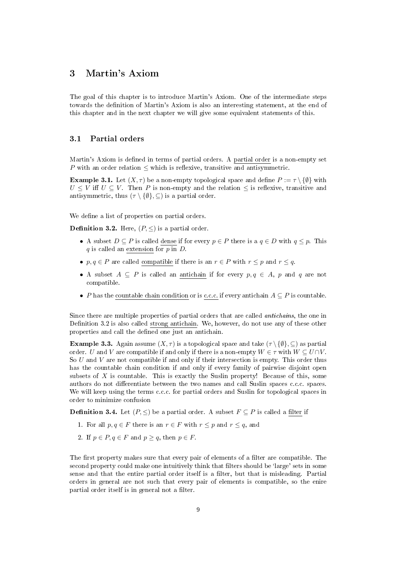## 3 Martin's Axiom

The goal of this chapter is to introduce Martin's Axiom. One of the intermediate steps towards the definition of Martin's Axiom is also an interesting statement, at the end of this chapter and in the next chapter we will give some equivalent statements of this.

#### 3.1 Partial orders

Martin's Axiom is defined in terms of partial orders. A partial order is a non-empty set P with an order relation  $\leq$  which is reflexive, transitive and antisymmetric.

**Example 3.1.** Let  $(X, \tau)$  be a non-empty topological space and define  $P := \tau \setminus \{\emptyset\}$  with  $U \leq V$  iff  $U \subseteq V$ . Then P is non-empty and the relation  $\leq$  is reflexive, transitive and antisymmetric, thus  $(\tau \setminus \{\emptyset\}, \subseteq)$  is a partial order.

We define a list of properties on partial orders.

**Definition 3.2.** Here,  $(P, \leq)$  is a partial order.

- A subset  $D \subseteq P$  is called dense if for every  $p \in P$  there is a  $q \in D$  with  $q \leq p$ . This  $q$  is called an extension for  $p$  in  $D$ .
- $p, q \in P$  are called compatible if there is an  $r \in P$  with  $r \leq p$  and  $r \leq q$ .
- A subset  $A \subseteq P$  is called an antichain if for every  $p, q \in A$ , p and q are not compatible.
- P has the countable chain condition or is c.c.c. if every antichain  $A \subseteq P$  is countable.

Since there are multiple properties of partial orders that are called antichains, the one in Definition 3.2 is also called strong antichain. We, however, do not use any of these other properties and call the defined one just an antichain.

**Example 3.3.** Again assume  $(X, \tau)$  is a topological space and take  $(\tau \setminus \{\emptyset\}, \subseteq)$  as partial order. U and V are compatible if and only if there is a non-empty  $W \in \tau$  with  $W \subseteq U \cap V$ . So  $U$  and  $V$  are not compatible if and only if their intersection is empty. This order thus has the countable chain condition if and only if every family of pairwise disjoint open subsets of  $X$  is countable. This is exactly the Suslin property! Because of this, some authors do not differentiate between the two names and call Suslin spaces c.c.c. spaces. We will keep using the terms c.c.c. for partial orders and Suslin for topological spaces in order to minimize confusion

**Definition 3.4.** Let  $(P, \leq)$  be a partial order. A subset  $F \subseteq P$  is called a filter if

- 1. For all  $p, q \in F$  there is an  $r \in F$  with  $r \leq p$  and  $r \leq q$ , and
- 2. If  $p \in P, q \in F$  and  $p \ge q$ , then  $p \in F$ .

The first property makes sure that every pair of elements of a filter are compatible. The second property could make one intuitively think that filters should be 'large' sets in some sense and that the entire partial order itself is a filter, but that is misleading. Partial orders in general are not such that every pair of elements is compatible, so the enire partial order itself is in general not a filter.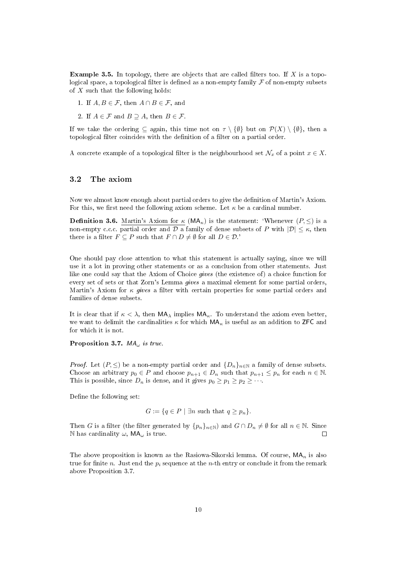**Example 3.5.** In topology, there are objects that are called filters too. If X is a topological space, a topological filter is defined as a non-empty family  $\mathcal F$  of non-empty subsets of  $X$  such that the following holds:

- 1. If  $A, B \in \mathcal{F}$ , then  $A \cap B \in \mathcal{F}$ , and
- 2. If  $A \in \mathcal{F}$  and  $B \supset A$ , then  $B \in \mathcal{F}$ .

If we take the ordering  $\subseteq$  again, this time not on  $\tau \setminus \{\emptyset\}$  but on  $\mathcal{P}(X) \setminus \{\emptyset\}$ , then a topological filter coincides with the definition of a filter on a partial order.

A concrete example of a topological filter is the neighbourhood set  $\mathcal{N}_x$  of a point  $x \in X$ .

#### 3.2 The axiom

Now we almost know enough about partial orders to give the denition of Martin's Axiom. For this, we first need the following axiom scheme. Let  $\kappa$  be a cardinal number.

**Definition 3.6.** Martin's Axiom for  $\kappa$  (MA<sub> $\kappa$ </sub>) is the statement: 'Whenever  $(P, \leq)$  is a non-empty c.c.c. partial order and D a family of dense subsets of P with  $|\mathcal{D}| \leq \kappa$ , then there is a filter  $F \subseteq P$  such that  $F \cap D \neq \emptyset$  for all  $D \in \mathcal{D}$ .'

One should pay close attention to what this statement is actually saying, since we will use it a lot in proving other statements or as a conclusion from other statements. Just like one could say that the Axiom of Choice gives (the existence of) a choice function for every set of sets or that Zorn's Lemma gives a maximal element for some partial orders, Martin's Axiom for  $\kappa$  gives a filter with certain properties for some partial orders and families of dense subsets.

It is clear that if  $\kappa < \lambda$ , then  $MA_{\lambda}$  implies  $MA_{\kappa}$ . To understand the axiom even better, we want to delimit the cardinalities  $\kappa$  for which  $MA_{\kappa}$  is useful as an addition to ZFC and for which it is not.

Proposition 3.7.  $MA_{\omega}$  is true.

*Proof.* Let  $(P, \leq)$  be a non-empty partial order and  $\{D_n\}_{n\in\mathbb{N}}$  a family of dense subsets. Choose an arbitrary  $p_0 \in P$  and choose  $p_{n+1} \in D_n$  such that  $p_{n+1} \leq p_n$  for each  $n \in \mathbb{N}$ . This is possible, since  $D_n$  is dense, and it gives  $p_0 \geq p_1 \geq p_2 \geq \cdots$ .

Define the following set:

$$
G := \{ q \in P \mid \exists n \text{ such that } q \ge p_n \}.
$$

Then G is a filter (the filter generated by  $\{p_n\}_{n\in\mathbb{N}}$ ) and  $G \cap D_n \neq \emptyset$  for all  $n \in \mathbb{N}$ . Since N has cardinality  $\omega$ , MA<sub> $\omega$ </sub> is true.  $\Box$ 

The above proposition is known as the Rasiowa-Sikorski lemma. Of course,  $MA_n$  is also true for finite n. Just end the  $p_i$  sequence at the n-th entry or conclude it from the remark above Proposition 3.7.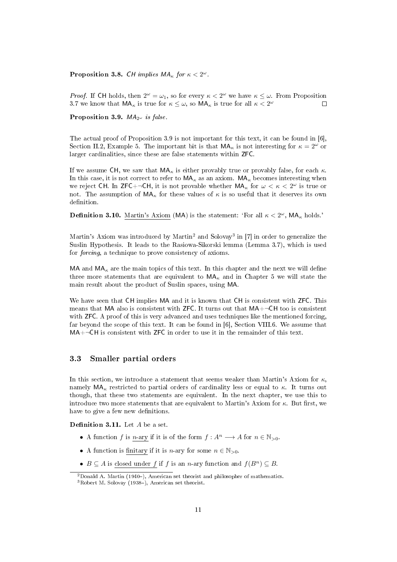Proposition 3.8. CH implies  $MA_{\kappa}$  for  $\kappa < 2^{\omega}$ .

*Proof.* If CH holds, then  $2^{\omega} = \omega_1$ , so for every  $\kappa < 2^{\omega}$  we have  $\kappa \leq \omega$ . From Proposition 3.7 we know that  $\mathsf{MA}_{\kappa}$  is true for  $\kappa \leq \omega$ , so  $\mathsf{MA}_{\kappa}$  is true for all  $\kappa < 2^{\omega}$ П

Proposition 3.9.  $MA_{2\omega}$  is false.

The actual proof of Proposition 3.9 is not important for this text, it can be found in [6], Section II.2, Example 5. The important bit is that  $MA_{\kappa}$  is not interesting for  $\kappa = 2^{\omega}$  or larger cardinalities, since these are false statements within ZFC.

If we assume CH, we saw that  $MA_{\kappa}$  is either provably true or provably false, for each  $\kappa$ . In this case, it is not correct to refer to  $MA_{\kappa}$  as an axiom.  $MA_{\kappa}$  becomes interesting when we reject CH. In ZFC+ $\neg$ CH, it is not provable whether  $MA_{\kappa}$  for  $\omega < \kappa < 2^{\omega}$  is true or not. The assumption of  $MA_{\kappa}$  for these values of  $\kappa$  is so useful that it deserves its own definition.

**Definition 3.10.** Martin's Axiom (MA) is the statement: 'For all  $\kappa < 2^{\omega}$ , MA<sub> $\kappa$ </sub> holds.'

Martin's Axiom was introduced by Martin<sup>2</sup> and Solovay<sup>3</sup> in [7] in order to generalize the Suslin Hypothesis. It leads to the Rasiowa-Sikorski lemma (Lemma 3.7), which is used for forcing, a technique to prove consistency of axioms.

MA and  $MA_{\kappa}$  are the main topics of this text. In this chapter and the next we will define three more statements that are equivalent to  $MA_{\kappa}$  and in Chapter 5 we will state the main result about the product of Suslin spaces, using MA.

We have seen that CH implies MA and it is known that CH is consistent with ZFC. This means that MA also is consistent with  $ZFC$ . It turns out that  $MA + \neg CH$  too is consistent with **ZFC**. A proof of this is very advanced and uses techniques like the mentioned forcing, far beyond the scope of this text. It can be found in [6], Section VIII.6. We assume that  $MA+\neg CH$  is consistent with ZFC in order to use it in the remainder of this text.

#### 3.3 Smaller partial orders

In this section, we introduce a statement that seems weaker than Martin's Axiom for  $\kappa$ , namely  $MA_{\kappa}$  restricted to partial orders of cardinality less or equal to  $\kappa$ . It turns out though, that these two statements are equivalent. In the next chapter, we use this to introduce two more statements that are equivalent to Martin's Axiom for  $\kappa$ . But first, we have to give a few new definitions.

**Definition 3.11.** Let  $A$  be a set.

- A function f is n-ary if it is of the form  $f : A^n \longrightarrow A$  for  $n \in \mathbb{N}_{>0}$ .
- A function is finitary if it is *n*-ary for some  $n \in \mathbb{N}_{>0}$ .
- $B \subseteq A$  is closed under f if f is an n-ary function and  $f(B^n) \subseteq B$ .

 $2$ Donald A. Martin (1940–), American set theorist and philosopher of mathematics.  $3Robert M. Solovay (1938-), American set theorist.$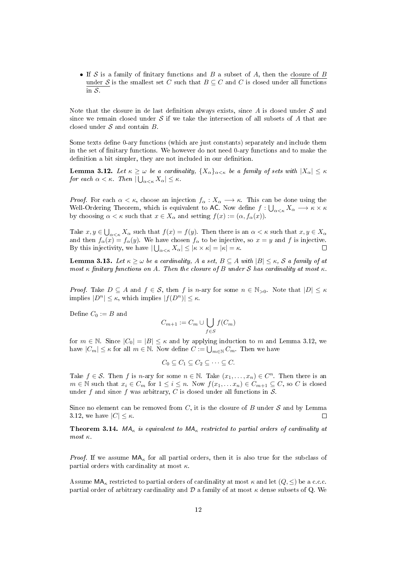• If S is a family of finitary functions and B a subset of A, then the closure of B under S is the smallest set C such that  $B \subseteq C$  and C is closed under all functions in S.

Note that the closure in de last definition always exists, since  $A$  is closed under  $S$  and since we remain closed under S if we take the intersection of all subsets of A that are closed under  $S$  and contain  $B$ .

Some texts define 0-ary functions (which are just constants) separately and include them in the set of finitary functions. We however do not need 0-ary functions and to make the definition a bit simpler, they are not included in our definition.

**Lemma 3.12.** Let  $\kappa \geq \omega$  be a cardinality,  $\{X_{\alpha}\}_{\alpha < \kappa}$  be a family of sets with  $|X_{\alpha}| \leq \kappa$ for each  $\alpha < \kappa$ . Then  $|\bigcup_{\alpha<\kappa}X_{\alpha}| \leq \kappa$ .

*Proof.* For each  $\alpha < \kappa$ , choose an injection  $f_{\alpha}: X_{\alpha} \longrightarrow \kappa$ . This can be done using the Well-Ordering Theorem, which is equivalent to AC. Now define  $f: \bigcup_{\alpha<\kappa} X_\alpha \longrightarrow \kappa \times \kappa$ by choosing  $\alpha < \kappa$  such that  $x \in X_\alpha$  and setting  $f(x) := (\alpha, f_\alpha(x))$ .

Take  $x, y \in \bigcup_{\alpha < \kappa} X_\alpha$  such that  $f(x) = f(y)$ . Then there is an  $\alpha < \kappa$  such that  $x, y \in X_\alpha$ and then  $f_{\alpha}(\tilde{x}) = f_{\alpha}(y)$ . We have chosen  $f_{\alpha}$  to be injective, so  $x = y$  and f is injective. By this injectivity, we have  $|\bigcup_{\alpha<\kappa}X_{\alpha}|\leq |\kappa\times\kappa|=|\kappa|=\kappa$ . П

**Lemma 3.13.** Let  $\kappa \geq \omega$  be a cardinality, A a set,  $B \subseteq A$  with  $|B| \leq \kappa$ , S a family of at most κ finitary functions on A. Then the closure of B under S has cardinality at most  $\kappa$ .

*Proof.* Take  $D \subseteq A$  and  $f \in S$ , then f is n-ary for some  $n \in \mathbb{N}_{>0}$ . Note that  $|D| \leq \kappa$ implies  $|D^n| \leq \kappa$ , which implies  $|f(D^n)| \leq \kappa$ .

Define  $C_0 := B$  and

$$
C_{m+1} := C_m \cup \bigcup_{f \in S} f(C_m)
$$

for  $m \in \mathbb{N}$ . Since  $|C_0| = |B| \leq \kappa$  and by applying induction to m and Lemma 3.12, we have  $|C_m| \leq \kappa$  for all  $m \in \mathbb{N}$ . Now define  $C := \bigcup_{m \in \mathbb{N}} C_m$ . Then we have

$$
C_0 \subseteq C_1 \subseteq C_2 \subseteq \cdots \subseteq C.
$$

Take  $f \in \mathcal{S}$ . Then f is n-ary for some  $n \in \mathbb{N}$ . Take  $(x_1, \ldots, x_n) \in C^n$ . Then there is an  $m \in \mathbb{N}$  such that  $x_i \in C_m$  for  $1 \leq i \leq n$ . Now  $f(x_1, \ldots, x_n) \in C_{m+1} \subseteq C$ , so C is closed under f and since f was arbitrary, C is closed under all functions in  $S$ .

Since no element can be removed from  $C$ , it is the closure of  $B$  under  $S$  and by Lemma 3.12, we have  $|C| \leq \kappa$ .  $\Box$ 

**Theorem 3.14.** MA<sub>K</sub> is equivalent to MA<sub>K</sub> restricted to partial orders of cardinality at  $m$ ost κ.

*Proof.* If we assume  $MA_{\kappa}$  for all partial orders, then it is also true for the subclass of partial orders with cardinality at most  $\kappa$ .

Assume  $MA_{\kappa}$  restricted to partial orders of cardinality at most  $\kappa$  and let  $(Q, \leq)$  be a c.c.c. partial order of arbitrary cardinality and  $D$  a family of at most  $\kappa$  dense subsets of Q. We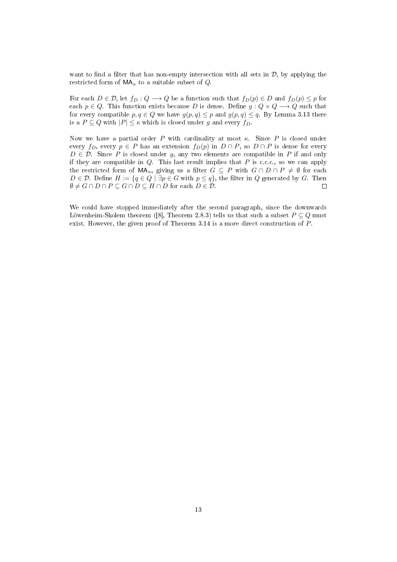want to find a filter that has non-empty intersection with all sets in  $\mathcal{D}$ , by applying the restricted form of  $MA_{\kappa}$  to a suitable subset of Q.

For each  $D \in \mathcal{D}$ , let  $f_D : Q \longrightarrow Q$  be a function such that  $f_D(p) \in D$  and  $f_D(p) \leq p$  for each  $p \in Q$ . This function exists because D is dense. Define  $g: Q \times Q \longrightarrow Q$  such that for every compatible  $p, q \in Q$  we have  $g(p, q) \leq p$  and  $g(p, q) \leq q$ . By Lemma 3.13 there is a  $P \subseteq Q$  with  $|P| \leq \kappa$  which is closed under g and every  $f_D$ .

Now we have a partial order P with cardinality at most  $\kappa$ . Since P is closed under every  $f_D$ , every  $p \in P$  has an extension  $f_D(p)$  in  $D \cap P$ , so  $D \cap P$  is dense for every  $D \in \mathcal{D}$ . Since P is closed under g, any two elements are compatible in P if and only if they are compatible in  $Q$ . This last result implies that  $P$  is c.c.c., so we can apply the restricted form of  $\mathsf{MA}_{\kappa}$ , giving us a filter  $G \subseteq P$  with  $G \cap D \cap P \neq \emptyset$  for each  $D \in \mathcal{D}$ . Define  $H := \{q \in Q \mid \exists p \in G \text{ with } p \leq q\}$ , the filter in Q generated by G. Then  $\emptyset \neq G \cap D \cap P \subseteq G \cap D \subseteq H \cap D$  for each  $D \in \mathcal{D}$ .  $\Box$ 

We could have stopped immediately after the second paragraph, since the downwards Löwenheim-Skolem theorem ([8], Theorem 2.8.3) tells us that such a subset  $P \subseteq Q$  must exist. However, the given proof of Theorem 3.14 is a more direct construction of P.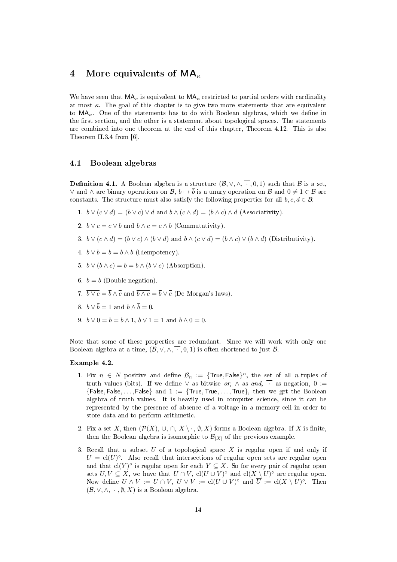## 4 More equivalents of  $MA_{\kappa}$

We have seen that  $MA_{\kappa}$  is equivalent to  $MA_{\kappa}$  restricted to partial orders with cardinality at most κ. The goal of this chapter is to give two more statements that are equivalent to  $MA_{\kappa}$ . One of the statements has to do with Boolean algebras, which we define in the first section, and the other is a statement about topological spaces. The statements are combined into one theorem at the end of this chapter, Theorem 4.12. This is also Theorem II.3.4 from [6].

#### 4.1 Boolean algebras

**Definition 4.1.** A Boolean algebra is a structure  $(\mathcal{B}, \vee, \wedge, \overline{\cdot}, 0, 1)$  such that  $\mathcal{B}$  is a set, ∨ and ∧ are binary operations on B,  $b \mapsto \overline{b}$  is a unary operation on B and  $0 \neq 1 \in \mathcal{B}$  are constants. The structure must also satisfy the following properties for all  $b, c, d \in \mathcal{B}$ :

- 1.  $b \vee (c \vee d) = (b \vee c) \vee d$  and  $b \wedge (c \wedge d) = (b \wedge c) \wedge d$  (Associativity).
- 2.  $b \vee c = c \vee b$  and  $b \wedge c = c \wedge b$  (Commutativity).
- 3.  $b \vee (c \wedge d) = (b \vee c) \wedge (b \vee d)$  and  $b \wedge (c \vee d) = (b \wedge c) \vee (b \wedge d)$  (Distributivity).
- 4.  $b \vee b = b = b \wedge b$  (Idempotency).
- 5.  $b \vee (b \wedge c) = b = b \wedge (b \vee c)$  (Absorption).
- 6.  $\bar{b} = b$  (Double negation).
- 7.  $\overline{b \vee c} = \overline{b} \wedge \overline{c}$  and  $\overline{b \wedge c} = \overline{b} \vee \overline{c}$  (De Morgan's laws).
- 8.  $b \vee \overline{b} = 1$  and  $b \wedge \overline{b} = 0$ .
- 9.  $b \vee 0 = b = b \wedge 1$ ,  $b \vee 1 = 1$  and  $b \wedge 0 = 0$ .

Note that some of these properties are redundant. Since we will work with only one Boolean algebra at a time,  $(\mathcal{B}, \vee, \wedge, \vee, \vee, \wedge)$  is often shortened to just  $\mathcal{B}$ .

#### Example 4.2.

- 1. Fix  $n \in N$  positive and define  $\mathcal{B}_n := \{ \text{True}, \text{False} \}^n$ , the set of all *n*-tuples of truth values (bits). If we define  $\vee$  as bitwise or,  $\wedge$  as and,  $\overline{\cdot}$  as negation, 0 :=  ${F}_1$  False, ..., False  $\}$  and  $1 := \{True, True, \ldots, True\}$ , then we get the Boolean algebra of truth values. It is heavily used in computer science, since it can be represented by the presence of absence of a voltage in a memory cell in order to store data and to perform arithmetic.
- 2. Fix a set X, then  $(\mathcal{P}(X), \cup, \cap, X \setminus \cdot, \emptyset, X)$  forms a Boolean algebra. If X is finite, then the Boolean algebra is isomorphic to  $\mathcal{B}_{|X|}$  of the previous example.
- 3. Recall that a subset  $U$  of a topological space  $X$  is regular open if and only if  $U = \text{cl}(U)^\circ$ . Also recall that intersections of regular open sets are regular open and that  $\text{cl}(Y)^\circ$  is regular open for each  $Y \subseteq X$ . So for every pair of regular open sets  $U, V \subseteq X$ , we have that  $U \cap V$ ,  $\text{cl}(U \cup V)^\circ$  and  $\text{cl}(X \setminus U)^\circ$  are regular open. Now define  $U \wedge V := U \cap V$ ,  $U \vee V := \text{cl}(U \cup V)^\circ$  and  $\overline{U} := \text{cl}(X \setminus U)^\circ$ . Then  $(\mathcal{B}, \vee, \wedge, \overline{\cdot}, \emptyset, X)$  is a Boolean algebra.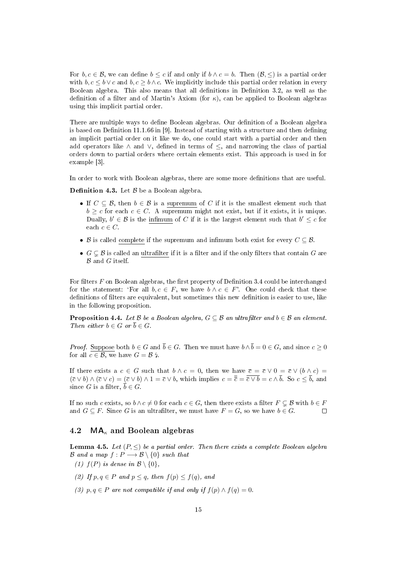For  $b, c \in \mathcal{B}$ , we can define  $b \leq c$  if and only if  $b \wedge c = b$ . Then  $(\mathcal{B}, \leq)$  is a partial order with  $b, c \le b \vee c$  and  $b, c \ge b \wedge c$ . We implicitly include this partial order relation in every Boolean algebra. This also means that all definitions in Definition 3.2, as well as the definition of a filter and of Martin's Axiom (for  $\kappa$ ), can be applied to Boolean algebras using this implicit partial order.

There are multiple ways to define Boolean algebras. Our definition of a Boolean algebra is based on Definition 11.1.66 in [9]. Instead of starting with a structure and then defining an implicit partial order on it like we do, one could start with a partial order and then add operators like  $\land$  and  $\lor$ , defined in terms of  $\leq$ , and narrowing the class of partial orders down to partial orders where certain elements exist. This approach is used in for example [3].

In order to work with Boolean algebras, there are some more definitions that are useful.

**Definition 4.3.** Let  $\beta$  be a Boolean algebra.

- If  $C \subseteq \mathcal{B}$ , then  $b \in \mathcal{B}$  is a supremum of C if it is the smallest element such that  $b \geq c$  for each  $c \in C$ . A supremum might not exist, but if it exists, it is unique. Dually,  $b' \in \mathcal{B}$  is the infimum of C if it is the largest element such that  $b' \leq c$  for each  $c \in C$ .
- B is called complete if the supremum and infimum both exist for every  $C \subseteq \mathcal{B}$ .
- $G \subsetneq \mathcal{B}$  is called an ultrafilter if it is a filter and if the only filters that contain G are  $\mathcal B$  and  $G$  itself.

For filters  $F$  on Boolean algebras, the first property of Definition 3.4 could be interchanged for the statement: 'For all  $b, c \in F$ , we have  $b \wedge c \in F'$ . One could check that these definitions of filters are equivalent, but sometimes this new definition is easier to use, like in the following proposition.

**Proposition 4.4.** Let B be a Boolean algebra,  $G \subseteq B$  an ultrafilter and  $b \in B$  an element. Then either  $b \in G$  or  $\overline{b} \in G$ .

*Proof.* Suppose both  $b \in G$  and  $\overline{b} \in G$ . Then we must have  $b \wedge \overline{b} = 0 \in G$ , and since  $c \geq 0$ for all  $c \in \mathcal{B}$ , we have  $G = \mathcal{B}$  4.

If there exists a  $c \in G$  such that  $b \wedge c = 0$ , then we have  $\overline{c} = \overline{c} \vee 0 = \overline{c} \vee (b \wedge c) =$  $(\bar{c} \vee b) \wedge (\bar{c} \vee c) = (\bar{c} \vee b) \wedge 1 = \bar{c} \vee b$ , which implies  $c = \bar{\bar{c}} = \bar{\bar{c} \vee b} = c \wedge \bar{b}$ . So  $c \leq \bar{b}$ , and since G is a filter,  $\overline{b} \in G$ .

If no such c exists, so  $b \wedge c \neq 0$  for each  $c \in G$ , then there exists a filter  $F \subset \mathcal{B}$  with  $b \in F$ and  $G \subseteq F$ . Since G is an ultrafilter, we must have  $F = G$ , so we have  $b \in G$ .  $\Box$ 

#### 4.2  $MA_{\kappa}$  and Boolean algebras

**Lemma 4.5.** Let  $(P, \leq)$  be a partial order. Then there exists a complete Boolean algebra  $\mathcal{B}$  and a map  $f : P \longrightarrow \mathcal{B} \setminus \{0\}$  such that

- (1)  $f(P)$  is dense in  $\mathcal{B} \setminus \{0\},\$
- (2) If  $p, q \in P$  and  $p \leq q$ , then  $f(p) \leq f(q)$ , and
- (3) p, q  $\in$  P are not compatible if and only if  $f(p) \wedge f(q) = 0$ .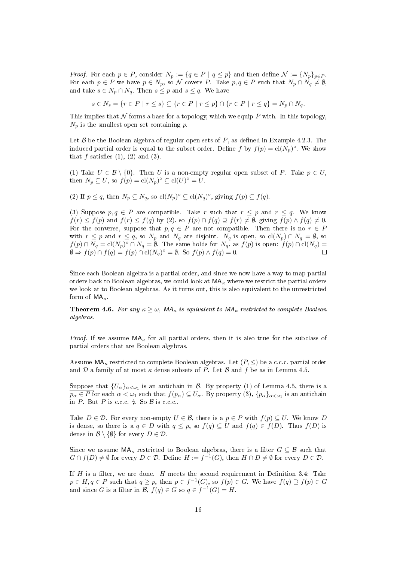*Proof.* For each  $p \in P$ , consider  $N_p := \{q \in P \mid q \leq p\}$  and then define  $\mathcal{N} := \{N_p\}_{p \in P}$ . For each  $p \in P$  we have  $p \in N_p$ , so N covers P. Take  $p, q \in P$  such that  $N_p \cap N_q \neq \emptyset$ , and take  $s \in N_p \cap N_q$ . Then  $s \leq p$  and  $s \leq q$ . We have

$$
s \in N_s = \{r \in P \mid r \le s\} \subseteq \{r \in P \mid r \le p\} \cap \{r \in P \mid r \le q\} = N_p \cap N_q.
$$

This implies that  $N$  forms a base for a topology, which we equip P with. In this topology,  $N_p$  is the smallest open set containing p.

Let  $\beta$  be the Boolean algebra of regular open sets of P, as defined in Example 4.2.3. The induced partial order is equal to the subset order. Define f by  $f(p) = \text{cl}(N_p)^\circ$ . We show that  $f$  satisfies  $(1)$ ,  $(2)$  and  $(3)$ .

(1) Take  $U \in \mathcal{B} \setminus \{0\}$ . Then U is a non-empty regular open subset of P. Take  $p \in U$ , then  $N_p \subseteq U$ , so  $f(p) = \text{cl}(N_p)^\circ \subseteq \text{cl}(U)^\circ = U$ .

(2) If  $p \le q$ , then  $N_p \subseteq N_q$ , so  $\text{cl}(N_p)^\circ \subseteq \text{cl}(N_q)^\circ$ , giving  $f(p) \subseteq f(q)$ .

(3) Suppose  $p, q \in P$  are compatible. Take r such that  $r \leq p$  and  $r \leq q$ . We know  $f(r) \le f(p)$  and  $f(r) \le f(q)$  by (2), so  $f(p) \cap f(q) \supseteq f(r) \neq \emptyset$ , giving  $f(p) \wedge f(q) \neq 0$ . For the converse, suppose that  $p, q \in P$  are not compatible. Then there is no  $r \in P$ with  $r \leq p$  and  $r \leq q$ , so  $N_p$  and  $N_q$  are disjoint.  $N_q$  is open, so  $\text{cl}(N_p) \cap N_q = \emptyset$ , so  $f(p) \cap N_q = \text{cl}(N_p)^\circ \cap N_q = \emptyset$ . The same holds for  $N_q$ , as  $f(p)$  is open:  $f(p) \cap \text{cl}(N_q) =$  $\emptyset \Rightarrow f(p) \cap f(q) = f(p) \cap \text{cl}(N_q)^\circ = \emptyset$ . So  $f(p) \wedge f(q) = 0$ .  $\Box$ 

Since each Boolean algebra is a partial order, and since we now have a way to map partial orders back to Boolean algebras, we could look at  $MA_{\kappa}$  where we restrict the partial orders we look at to Boolean algebras. As it turns out, this is also equivalent to the unrestricted form of  $MA_{\kappa}$ .

**Theorem 4.6.** For any  $\kappa \geq \omega$ , MA<sub>K</sub> is equivalent to MA<sub>K</sub> restricted to complete Boolean algebras.

*Proof.* If we assume  $MA_{\kappa}$  for all partial orders, then it is also true for the subclass of partial orders that are Boolean algebras.

Assume  $MA_{\kappa}$  restricted to complete Boolean algebras. Let  $(P, \leq)$  be a c.c.c. partial order and D a family of at most  $\kappa$  dense subsets of P. Let B and f be as in Lemma 4.5.

 $\operatorname{Suppose}$  that  $\{U_\alpha\}_{\alpha<\omega_1}$  is an antichain in  ${\mathcal B}$ . By property (1) of Lemma 4.5, there is a  $p_\alpha\in P$  for each  $\alpha<\omega_1$  such that  $f(p_\alpha)\subseteq U_\alpha$ . By property  $(3),$   $\{p_\alpha\}_{\alpha<\omega_1}$  is an antichain in P. But P is c.c.  $\frac{1}{7}$  So B is c.c.c..

Take  $D \in \mathcal{D}$ . For every non-empty  $U \in \mathcal{B}$ , there is a  $p \in P$  with  $f(p) \subseteq U$ . We know D is dense, so there is a  $q \in D$  with  $q \leq p$ , so  $f(q) \subseteq U$  and  $f(q) \in f(D)$ . Thus  $f(D)$  is dense in  $\mathcal{B} \setminus \{\emptyset\}$  for every  $D \in \mathcal{D}$ .

Since we assume  $MA_{\kappa}$  restricted to Boolean algebras, there is a filter  $G \subseteq \mathcal{B}$  such that  $G \cap f(D) \neq \emptyset$  for every  $D \in \mathcal{D}$ . Define  $H := f^{-1}(G)$ , then  $H \cap D \neq \emptyset$  for every  $D \in \mathcal{D}$ .

If  $H$  is a filter, we are done.  $H$  meets the second requirement in Definition 3.4: Take  $p \in H, q \in P$  such that  $q \geq p$ , then  $p \in f^{-1}(G)$ , so  $f(p) \in G$ . We have  $f(q) \supseteq f(p) \in G$ and since G is a filter in B,  $f(q) \in G$  so  $q \in f^{-1}(G) = H$ .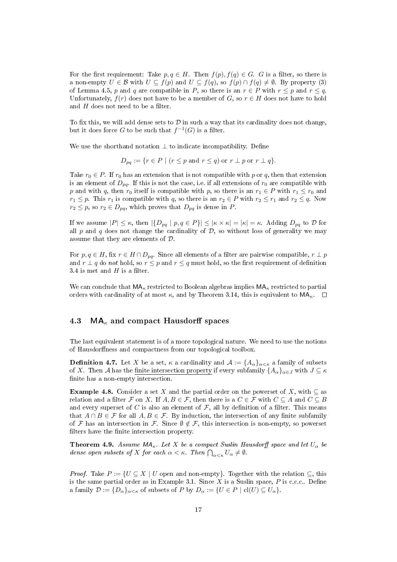For the first requirement: Take  $p, q \in H$ . Then  $f(p), f(q) \in G$ . G is a filter, so there is a non-empty  $U \in \mathcal{B}$  with  $U \subseteq f(p)$  and  $U \subseteq f(q)$ , so  $f(p) \cap f(q) \neq \emptyset$ . By property (3) of Lemma 4.5, p and q are compatible in P, so there is an  $r \in P$  with  $r \leq p$  and  $r \leq q$ . Unfortunately,  $f(r)$  does not have to be a member of G, so  $r \in H$  does not have to hold and  $H$  does not need to be a filter.

To fix this, we will add dense sets to  $\mathcal D$  in such a way that its cardinality does not change, but it does force G to be such that  $f^{-1}(G)$  is a filter.

We use the shorthand notation  $\perp$  to indicate incompatibility. Define

$$
D_{pq} := \{ r \in P \mid (r \le p \text{ and } r \le q) \text{ or } r \perp p \text{ or } r \perp q \}.
$$

Take  $r_0 \in P$ . If  $r_0$  has an extension that is not compatible with p or q, then that extension is an element of  $D_{pq}$ . If this is not the case, i.e. if all extensions of  $r_0$  are compatible with p and with q, then  $r_0$  itself is compatible with p, so there is an  $r_1 \in P$  with  $r_1 \leq r_0$  and  $r_1 \leq p$ . This  $r_1$  is compatible with q, so there is an  $r_2 \in P$  with  $r_2 \leq r_1$  and  $r_2 \leq q$ . Now  $r_2 \leq p$ , so  $r_2 \in D_{pq}$ , which proves that  $D_{pq}$  is dense in P.

If we assume  $|P| \leq \kappa$ , then  $|\{D_{pq} \mid p,q \in P\}| \leq |\kappa \times \kappa| = |\kappa| = \kappa$ . Adding  $D_{pq}$  to  $\mathcal D$  for all  $p$  and  $q$  does not change the cardinality of  $D$ , so without loss of generality we may assume that they are elements of D.

For  $p, q \in H$ , fix  $r \in H \cap D_{pq}$ . Since all elements of a filter are pairwise compatible,  $r \perp p$ and  $r \perp q$  do not hold, so  $r \leq p$  and  $r \leq q$  must hold, so the first requirement of definition 3.4 is met and  $H$  is a filter.

We can conclude that  $MA_{\kappa}$  restricted to Boolean algebras implies  $MA_{\kappa}$  restricted to partial orders with cardinality of at most  $\kappa$ , and by Theorem 3.14, this is equivalent to  $\mathsf{MA}_{\kappa}$ .  $\square$ 

#### 4.3  $MA_{\kappa}$  and compact Hausdorff spaces

The last equivalent statement is of a more topological nature. We need to use the notions of Hausdorffness and compactness from our topological toolbox.

**Definition 4.7.** Let X be a set,  $\kappa$  a cardinality and  $\mathcal{A} := \{A_{\alpha}\}_{\alpha < \kappa}$  a family of subsets of X. Then A has the finite intersection property if every subfamily  ${A_{\alpha}}_{\alpha\in J}$  with  $J \subseteq \kappa$ finite has a non-empty intersection.

**Example 4.8.** Consider a set X and the partial order on the powerset of X, with  $\subseteq$  as relation and a filter F on X. If  $A, B \in \mathcal{F}$ , then there is a  $C \in \mathcal{F}$  with  $C \subseteq A$  and  $C \subseteq B$ and every superset of C is also an element of  $\mathcal{F}$ , all by definition of a filter. This means that  $A \cap B \in \mathcal{F}$  for all  $A, B \in \mathcal{F}$ . By induction, the intersection of any finite subfamily of F has an intersection in F. Since  $\emptyset \notin \mathcal{F}$ , this intersection is non-empty, so powerset filters have the finite intersection property.

**Theorem 4.9.** Assume  $MA_{\kappa}$ . Let X be a compact Suslin Hausdorff space and let  $U_{\alpha}$  be dense open subsets of X for each  $\alpha < \kappa$ . Then  $\bigcap_{\alpha < \kappa} U_{\alpha} \neq \emptyset$ .

*Proof.* Take  $P := \{U \subseteq X \mid U \text{ open and non-empty}\}\.$  Together with the relation  $\subseteq$ , this is the same partial order as in Example 3.1. Since  $X$  is a Suslin space,  $P$  is c.c.c.. Define a family  $\mathcal{D} := \{D_{\alpha}\}_{{\alpha} < \kappa}$  of subsets of P by  $D_{\alpha} := \{U \in P \mid \text{cl}(U) \subseteq U_{\alpha}\}.$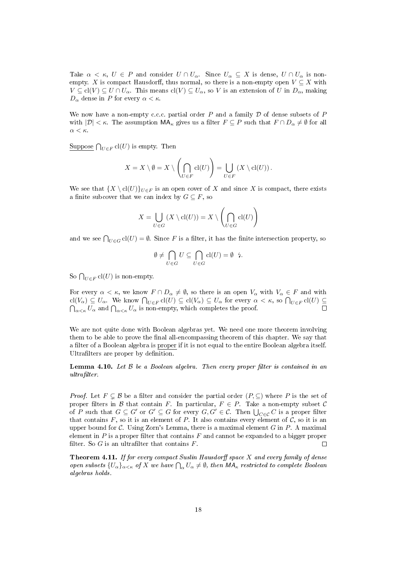Take  $\alpha < \kappa$ ,  $U \in P$  and consider  $U \cap U_{\alpha}$ . Since  $U_{\alpha} \subseteq X$  is dense,  $U \cap U_{\alpha}$  is nonempty. X is compact Hausdorff, thus normal, so there is a non-empty open  $V \subseteq X$  with  $V \subseteq cl(V) \subseteq U \cap U_\alpha$ . This means  $cl(V) \subseteq U_\alpha$ , so V is an extension of U in  $D_\alpha$ , making  $D_{\alpha}$  dense in P for every  $\alpha < \kappa$ .

We now have a non-empty c.c.c. partial order  $P$  and a family  $D$  of dense subsets of  $P$ with  $|\mathcal{D}| < \kappa$ . The assumption  $\mathsf{MA}_{\kappa}$  gives us a filter  $F \subseteq P$  such that  $F \cap D_{\alpha} \neq \emptyset$  for all α < κ.

 $\overline{\mathrm{Suppose}} \bigcap_{U \in F} \mathrm{cl}(U)$  is empty. Then

$$
X = X \setminus \emptyset = X \setminus \left( \bigcap_{U \in F} cl(U) \right) = \bigcup_{U \in F} \left( X \setminus cl(U) \right).
$$

We see that  ${X \ cl(U)}_{U \in F}$  is an open cover of X and since X is compact, there exists a finite subcover that we can index by  $G \subseteq F$ , so

$$
X = \bigcup_{U \in G} (X \setminus \text{cl}(U)) = X \setminus \left(\bigcap_{U \in G} \text{cl}(U)\right)
$$

and we see  $\bigcap_{U\in G}$  cl $(U)=\emptyset$ . Since F is a filter, it has the finite intersection property, so

$$
\emptyset \neq \bigcap_{U \in G} U \subseteq \bigcap_{U \in G} \text{cl}(U) = \emptyset \quad \text{4.}
$$

So  $\bigcap_{U \in F}$  cl $(U)$  is non-empty.

For every  $\alpha < \kappa$ , we know  $F \cap D_{\alpha} \neq \emptyset$ , so there is an open  $V_{\alpha}$  with  $V_{\alpha} \in F$  and with  $\text{cl}(V_\alpha) \subseteq U_\alpha$ . We know  $\bigcap_{U \in F} \text{cl}(U) \subseteq \text{cl}(V_\alpha) \subseteq U_\alpha$  for every  $\alpha < \kappa$ , so  $\bigcap_{U \in F} \text{cl}(U) \subseteq$  $\bigcap_{\alpha<\kappa}U_\alpha$  and  $\bigcap_{\alpha<\kappa}U_\alpha$  is non-empty, which completes the proof.  $\Box$ 

We are not quite done with Boolean algebras yet. We need one more theorem involving them to be able to prove the final all-encompassing theorem of this chapter. We say that a filter of a Boolean algebra is proper if it is not equal to the entire Boolean algebra itself. Ultrafilters are proper by definition.

**Lemma 4.10.** Let  $\beta$  be a Boolean algebra. Then every proper filter is contained in an  $ultrafilter.$ 

*Proof.* Let  $F \subsetneq \mathcal{B}$  be a filter and consider the partial order  $(P, \subseteq)$  where P is the set of proper filters in B that contain F. In particular,  $F \in P$ . Take a non-empty subset C of P such that  $G \subseteq G'$  or  $G' \subseteq G$  for every  $G, G' \in \mathcal{C}$ . Then  $\bigcup_{C \in \mathcal{C}} C$  is a proper filter that contains F, so it is an element of P. It also contains every element of C, so it is an upper bound for  $\mathcal{C}$ . Using Zorn's Lemma, there is a maximal element G in P. A maximal element in  $P$  is a proper filter that contains  $F$  and cannot be expanded to a bigger proper filter. So  $G$  is an ultrafilter that contains  $F$ .  $\Box$ 

Theorem 4.11. If for every compact Suslin Hausdorff space  $X$  and every family of dense open subsets  $\{U_\alpha\}_{\alpha<\kappa}$  of X we have  $\bigcap_\alpha U_\alpha\neq\emptyset$ , then  $\mathsf{MA}_\kappa$  restricted to complete Boolean algebras holds.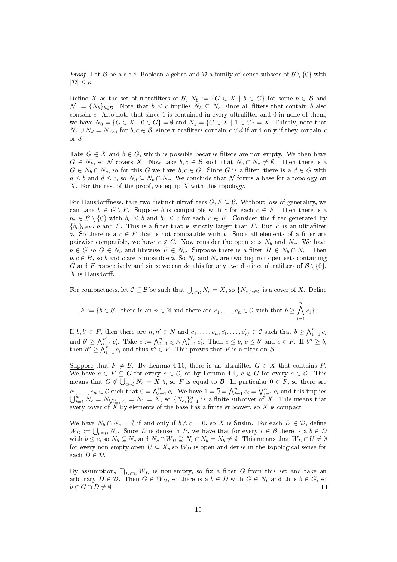*Proof.* Let B be a c.c.c. Boolean algebra and D a family of dense subsets of  $\mathcal{B} \setminus \{0\}$  with  $|\mathcal{D}| \leq \kappa$ .

Define X as the set of ultrafilters of B,  $N_b := \{G \in X \mid b \in G\}$  for some  $b \in \mathcal{B}$  and  $\mathcal{N} := \{N_b\}_{b \in \mathcal{B}}$ . Note that  $b \leq c$  implies  $N_b \subseteq N_c$ , since all filters that contain b also contain  $c$ . Also note that since 1 is contained in every ultrafilter and 0 in none of them, we have  $N_0 = \{G \in X \mid 0 \in G\} = \emptyset$  and  $N_1 = \{G \in X \mid 1 \in G\} = X$ . Thirdly, note that  $N_c \cup N_d = N_{c \vee d}$  for  $b, c \in \mathcal{B}$ , since ultrafilters contain  $c \vee d$  if and only if they contain c or d.

Take  $G \in X$  and  $b \in G$ , which is possible because filters are non-empty. We then have  $G \in N_b$ , so N covers X. Now take  $b, c \in \mathcal{B}$  such that  $N_b \cap N_c \neq \emptyset$ . Then there is a  $G \in N_b \cap N_c$ , so for this G we have  $b, c \in G$ . Since G is a filter, there is a  $d \in G$  with  $d \leq b$  and  $d \leq c$ , so  $N_d \subseteq N_b \cap N_c$ . We conclude that N forms a base for a topology on  $X$ . For the rest of the proof, we equip  $X$  with this topology.

For Hausdorffness, take two distinct ultrafilters  $G, F \subseteq \mathcal{B}$ . Without loss of generality, we can take  $b \in G \setminus F$ . Suppose b is compatible with c for each  $c \in F$ . Then there is a  $b_c \in \mathcal{B} \setminus \{0\}$  with  $b_c \leq b$  and  $b_c \leq c$  for each  $c \in F$ . Consider the filter generated by  ${b_c}_{c\in F}$ , b and F. This is a filter that is strictly larger than F. But F is an ultrafilter 4. So there is a  $c \in F$  that is not compatible with b. Since all elements of a filter are pairwise compatible, we have  $c \notin G$ . Now consider the open sets  $N_b$  and  $N_c$ . We have  $b \in G$  so  $G \in N_b$  and likewise  $F \in N_c$ . Suppose there is a filter  $H \in N_b \cap N_c$ . Then  $b, c \in H$ , so b and c are compatible 4. So  $N_b$  and  $N_c$  are two disjunct open sets containing G and F respectively and since we can do this for any two distinct ultrafilters of  $\mathcal{B} \setminus \{0\}$ ,  $X$  is Hausdorff.

For compactness, let  $C \subseteq B$  be such that  $\bigcup_{c \in C} N_c = X$ , so  $\{N_c\}_{c \in C}$  is a cover of  $X$ . Define

 $F:=\{b\in\mathcal{B}\mid \text{there is an }n\in\mathbb{N}\text{ and there are }c_1,\ldots,c_n\in\mathcal{C}\text{ such that }b\geq\bigwedge^n\}$  $i=1$  $\overline{c_i}\}.$ 

If  $b, b' \in F$ , then there are  $n, n' \in N$  and  $c_1, \ldots, c_n, c'_1, \ldots, c'_{n'} \in \mathcal{C}$  such that  $b \geq \bigwedge_{i=1}^n \overline{c_i}$ and  $b' \geq \bigwedge_{i=1}^{n'} \overline{c'_i}$ . Take  $c := \bigwedge_{i=1}^{n} \overline{c_i} \wedge \bigwedge_{i=1}^{n'} \overline{c'_i}$ . Then  $c \leq b, c \leq b'$  and  $c \in F$ . If  $b'' \geq b$ , then  $b'' \geq \bigwedge_{i=1}^{n} \overline{c_i}$  and thus  $b'' \in F$ . This proves that F is a filter on B.

Suppose that  $F \neq \mathcal{B}$ . By Lemma 4.10, there is an ultrafilter  $G \in X$  that contains F. We have  $\overline{c} \in F \subseteq G$  for every  $c \in \mathcal{C}$ , so by Lemma 4.4,  $c \notin G$  for every  $c \in \mathcal{C}$ . This means that  $G \notin \bigcup_{c \in \mathcal{C}} N_c = X \xi$ , so F is equal to B. In particular  $0 \in F$ , so there are  $c_1,\ldots,c_n\in\mathcal{C}$  such that  $0=\bigwedge_{i=1}^n\overline{c_i}$ . We have  $1=\overline{0}=\overline{\bigwedge_{i=1}^n\overline{c_i}}=\bigvee_{i=1}^nc_i$  and this implies  $\bigcup_{i=1}^n N_c = N_{\bigvee_{i=1}^n c_i} = N_1 = X$ , so  $\{N_{c_i}\}_{i=1}^n$  is a finite subcover of X. This means that every cover of  $X$  by elements of the base has a finite subcover, so  $X$  is compact.

We have  $N_b \cap N_c = \emptyset$  if and only if  $b \wedge c = 0$ , so X is Suslin. For each  $D \in \mathcal{D}$ , define  $W_D := \bigcup_{b \in D} N_b$ . Since D is dense in P, we have that for every  $c \in \mathcal{B}$  there is a  $b \in D$ with  $b \leq c$ , so  $N_b \subseteq N_c$  and  $N_c \cap W_D \supseteq N_c \cap N_b=N_b \neq \emptyset$ . This means that  $W_D \cap U \neq \emptyset$ for every non-empty open  $U \subseteq X$ , so  $W_D$  is open and dense in the topological sense for each  $D \in \mathcal{D}$ .

By assumption,  $\bigcap_{D \in \mathcal{D}} W_D$  is non-empty, so fix a filter G from this set and take an arbitrary  $D \in \mathcal{D}$ . Then  $G \in W_D$ , so there is a  $b \in D$  with  $G \in N_b$  and thus  $b \in G$ , so  $b \in G \cap D \neq \emptyset$ .  $\Box$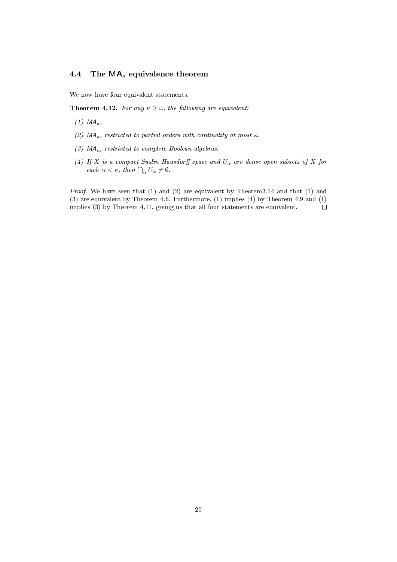## 4.4 The  $MA_{\kappa}$  equivalence theorem

We now have four equivalent statements.

**Theorem 4.12.** For any  $\kappa \geq \omega$ , the following are equivalent:

- (1)  $MA_{\kappa}$ .
- (2)  $MA_{\kappa}$ , restricted to partial orders with cardinality at most  $\kappa$ .
- (3)  $MA_{\kappa}$ , restricted to complete Boolean algebras.
- (4) If X is a compact Suslin Hausdorff space and  $U_{\alpha}$  are dense open subsets of X for each  $\alpha < \kappa$ , then  $\bigcap_{\alpha} U_{\alpha} \neq \emptyset$ .

Proof. We have seen that (1) and (2) are equivalent by Theorem3.14 and that (1) and (3) are equivalent by Theorem 4.6. Furthermore, (1) implies (4) by Theorem 4.9 and (4) implies (3) by Theorem 4.11, giving us that all four statements are equivalent.  $\Box$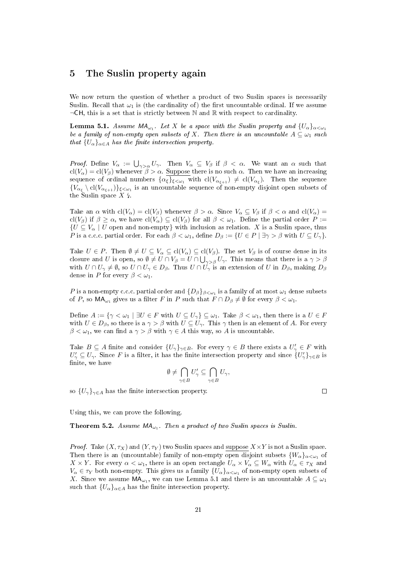### 5 The Suslin property again

We now return the question of whether a product of two Suslin spaces is necessarily Suslin. Recall that  $\omega_1$  is (the cardinality of) the first uncountable ordinal. If we assume  $\neg$ CH, this is a set that is strictly between N and R with respect to cardinality.

**Lemma 5.1.** Assume  $MA_{\omega_1}$ . Let X be a space with the Suslin property and  $\{U_{\alpha}\}_{{\alpha<\omega_1}}$ be a family of non-empty open subsets of X. Then there is an uncountable  $A \subseteq \omega_1$  such that  ${U_{\alpha}}_{\alpha \in A}$  has the finite intersection property.

*Proof.* Define  $V_{\alpha} := \bigcup_{\gamma > \alpha} U_{\gamma}$ . Then  $V_{\alpha} \subseteq V_{\beta}$  if  $\beta < \alpha$ . We want an  $\alpha$  such that  $cl(V_\alpha) = cl(V_\beta)$  whenever  $\beta > \alpha$ . Suppose there is no such  $\alpha$ . Then we have an increasing sequence of ordinal numbers  $\{\alpha_\xi\}_{\xi<\omega_1}$  with  $\mathrm{cl}(V_{\alpha_{\xi+1}})\,\neq\,\mathrm{cl}(V_{\alpha_\xi}).$  Then the sequence  ${V_{\alpha_{\xi}} \setminus cl(V_{\alpha_{\xi+1}})}_{\xi < \omega_1}$  is an uncountable sequence of non-empty disjoint open subsets of the Suslin space  $X \xi$ .

Take an  $\alpha$  with  $cl(V_{\alpha}) = cl(V_{\beta})$  whenever  $\beta > \alpha$ . Since  $V_{\alpha} \subseteq V_{\beta}$  if  $\beta < \alpha$  and  $cl(V_{\alpha}) =$ cl(V<sub>β</sub>) if  $\beta \geq \alpha$ , we have cl(V<sub>α</sub>)  $\subseteq$  cl(V<sub>β</sub>) for all  $\beta < \omega_1$ . Define the partial order P :=  ${U \subseteq V_\alpha \mid U}$  open and non-empty} with inclusion as relation. X is a Suslin space, thus P is a c.c.c. partial order. For each  $\beta < \omega_1$ , define  $D_\beta := \{U \in P \mid \exists \gamma > \beta \text{ with } U \subseteq U_\gamma\}.$ 

Take  $U \in P$ . Then  $\emptyset \neq U \subseteq V_\alpha \subseteq cl(V_\alpha) \subseteq cl(V_\beta)$ . The set  $V_\beta$  is of course dense in its closure and U is open, so  $\emptyset \neq U \cap V_\beta = U \cap \bigcup_{\gamma > \beta} U_\gamma$ . This means that there is a  $\gamma > \beta$ with  $U \cap U_{\gamma} \neq \emptyset$ , so  $U \cap U_{\gamma} \in D_{\beta}$ . Thus  $U \cap U_{\gamma}$  is an extension of U in  $D_{\beta}$ , making  $D_{\beta}$ dense in P for every  $\beta < \omega_1$ .

 $P$  is a non-empty c.c.c. partial order and  $\{D_{\beta}\}_{\beta<\omega_1}$  is a family of at most  $\omega_1$  dense subsets of P, so  $MA_{\omega_1}$  gives us a filter F in P such that  $F \cap D_\beta \neq \emptyset$  for every  $\beta < \omega_1$ .

Define  $A := \{ \gamma < \omega_1 \mid \exists U \in F \text{ with } U \subseteq U_\gamma \} \subseteq \omega_1$ . Take  $\beta < \omega_1$ , then there is a  $U \in F$ with  $U \n\t\in D_\beta$ , so there is a  $\gamma > \beta$  with  $U \n\t\subseteq U_\gamma$ . This  $\gamma$  then is an element of A. For every  $\beta < \omega_1$ , we can find a  $\gamma > \beta$  with  $\gamma \in A$  this way, so A is uncountable.

Take  $B \subseteq A$  finite and consider  $\{U_{\gamma}\}_{\gamma \in B}$ . For every  $\gamma \in B$  there exists a  $U'_{\gamma} \in F$  with  $U'_\gamma \subseteq U_\gamma$ . Since F is a filter, it has the finite intersection property and since  $\{U'_\gamma\}_{\gamma\in B}$  is finite, we have

$$
\emptyset\neq \bigcap_{\gamma\in B}U'_\gamma\subseteq \bigcap_{\gamma\in B}U_\gamma,
$$

so  ${U_{\gamma}}_{\gamma \in A}$  has the finite intersection property.

Using this, we can prove the following.

**Theorem 5.2.** Assume  $MA_{\omega_1}$ . Then a product of two Suslin spaces is Suslin.

*Proof.* Take  $(X, \tau_X)$  and  $(Y, \tau_Y)$  two Suslin spaces and suppose  $X \times Y$  is not a Suslin space. Then there is an (uncountable) family of non-empty open disjoint subsets  $\{W_{\alpha}\}_{{\alpha<{\omega_1}}}$  of  $X \times Y$ . For every  $\alpha < \omega_1$ , there is an open rectangle  $U_\alpha \times V_\alpha \subseteq W_\alpha$  with  $U_\alpha \in \tau_X$  and  $V_\alpha \in \tau_Y$  both non-empty. This gives us a family  $\{U_\alpha\}_{\alpha<\omega_1}$  of non-empty open subsets of X. Since we assume  $\mathsf{MA}_{\omega_1}$ , we can use Lemma 5.1 and there is an uncountable  $A \subseteq \omega_1$ such that  ${U_{\alpha}}_{\alpha \in A}$  has the finite intersection property.

 $\Box$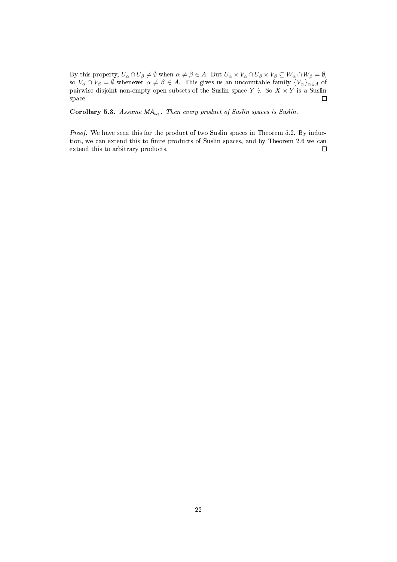By this property,  $U_\alpha \cap U_\beta \neq \emptyset$  when  $\alpha \neq \beta \in A$ . But  $U_\alpha \times V_\alpha \cap U_\beta \times V_\beta \subseteq W_\alpha \cap W_\beta = \emptyset$ , so  $V_\alpha\cap V_\beta=\emptyset$  whenever  $\alpha\neq\beta\in A$ . This gives us an uncountable family  $\{V_\alpha\}_{\alpha\in A}$  of pairwise disjoint non-empty open subsets of the Suslin space  $Y \nmid X$ . So  $X \times Y$  is a Suslin space. space.

Corollary 5.3. Assume  $MA_{\omega_1}$ . Then every product of Suslin spaces is Suslin.

Proof. We have seen this for the product of two Suslin spaces in Theorem 5.2. By induction, we can extend this to finite products of Suslin spaces, and by Theorem 2.6 we can extend this to arbitrary products.  $\Box$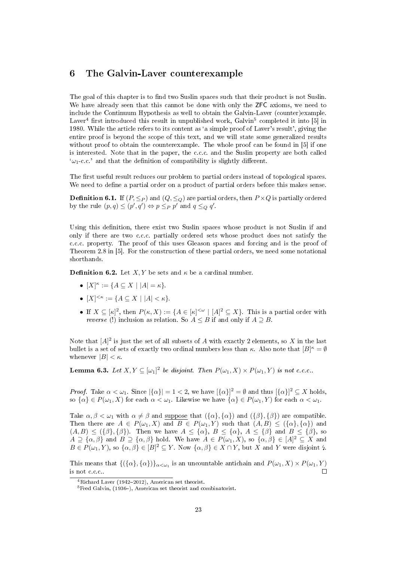## 6 The Galvin-Laver counterexample

The goal of this chapter is to find two Suslin spaces such that their product is not Suslin. We have already seen that this cannot be done with only the **ZFC** axioms, we need to include the Continuum Hypothesis as well to obtain the Galvin-Laver (counter)example. Laver<sup>4</sup> first introduced this result in unpublished work, Galvin<sup>5</sup> completed it into [5] in 1980. While the article refers to its content as `a simple proof of Laver's result', giving the entire proof is beyond the scope of this text, and we will state some generalized results without proof to obtain the counterexample. The whole proof can be found in [5] if one is interested. Note that in the paper, the c.c.c. and the Suslin property are both called  $\omega_1$ -c.c.' and that the definition of compatibility is slightly different.

The first useful result reduces our problem to partial orders instead of topological spaces. We need to define a partial order on a product of partial orders before this makes sense.

**Definition 6.1.** If  $(P, \leq_P)$  and  $(Q, \leq_Q)$  are partial orders, then  $P \times Q$  is partially ordered by the rule  $(p, q) \leq (p', q') \Leftrightarrow p \leq_P p'$  and  $q \leq_Q q'$ .

Using this definition, there exist two Suslin spaces whose product is not Suslin if and only if there are two c.c.c. partially ordered sets whose product does not satisfy the c.c.c. property. The proof of this uses Gleason spaces and forcing and is the proof of Theorem 2.8 in [5]. For the construction of these partial orders, we need some notational shorthands.

**Definition 6.2.** Let  $X, Y$  be sets and  $\kappa$  be a cardinal number.

- $[X]^{\kappa} := \{ A \subseteq X \mid |A| = \kappa \}.$
- $[X]^{<\kappa} := \{ A \subseteq X \mid |A| < \kappa \}.$
- If  $X \subseteq [\kappa]^2$ , then  $P(\kappa, X) := \{A \in [\kappa]^{<\omega} \mid [A]^2 \subseteq X\}$ . This is a partial order with reverse (!) inclusion as relation. So  $A \leq B$  if and only if  $A \supseteq B$ .

Note that  $[A]^2$  is just the set of all subsets of A with exactly 2 elements, so X in the last bullet is a set of sets of exactly two ordinal numbers less than  $\kappa$ . Also note that  $[B]^{\kappa} = \emptyset$ whenever  $|B| < \kappa$ .

**Lemma 6.3.** Let  $X, Y \subseteq [\omega_1]^2$  be disjoint. Then  $P(\omega_1, X) \times P(\omega_1, Y)$  is not c.c.c..

*Proof.* Take  $\alpha < \omega_1$ . Since  $|\{\alpha\}| = 1 < 2$ , we have  $|\{\alpha\}|^2 = \emptyset$  and thus  $|\{\alpha\}|^2 \subseteq X$  holds, so  $\{\alpha\} \in P(\omega_1, X)$  for each  $\alpha < \omega_1$ . Likewise we have  $\{\alpha\} \in P(\omega_1, Y)$  for each  $\alpha < \omega_1$ .

Take  $\alpha, \beta < \omega_1$  with  $\alpha \neq \beta$  and suppose that  $({\alpha}, {\alpha})$  and  $({\beta}, {\beta})$  are compatible. Then there are  $A \in P(\omega_1, X)$  and  $B \in P(\omega_1, Y)$  such that  $(A, B) \leq (\{\alpha\}, \{\alpha\})$  and  $(A, B) \leq (\{\beta\}, \{\beta\})$ . Then we have  $A \leq \{\alpha\}, B \leq \{\alpha\}, A \leq \{\beta\}$  and  $B \leq \{\beta\},$  so  $A \supseteq {\alpha, \beta}$  and  $B \supseteq {\alpha, \beta}$  hold. We have  $A \in P(\omega_1, X)$ , so  $\{\alpha, \beta\} \in [A]^2 \subseteq X$  and  $B \in P(\omega_1, Y)$ , so  $\{\alpha, \beta\} \in [B]^2 \subseteq Y$ . Now  $\{\alpha, \beta\} \in X \cap Y$ , but X and Y were disjoint  $\sharp$ .

This means that  ${(\{\alpha\}, \{\alpha\})\}_{\alpha < \omega_1}$  is an uncountable antichain and  $P(\omega_1, X) \times P(\omega_1, Y)$ is not c.c.c..  $\Box$ 

 $4Richard Layer (1942-2012)$ , American set theorist.

 $5$ Fred Galvin, (1936–), American set theorist and combinatorist.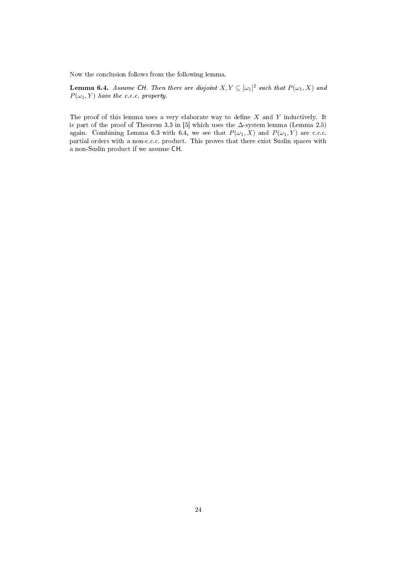Now the conclusion follows from the following lemma.

**Lemma 6.4.** Assume CH. Then there are disjoint  $X, Y \subseteq [\omega_1]^2$  such that  $P(\omega_1, X)$  and  $P(\omega_1, Y)$  have the c.c.c. property.

The proof of this lemma uses a very elaborate way to define  $X$  and  $Y$  inductively. It is part of the proof of Theorem 3.3 in [5] which uses the  $\Delta$ -system lemma (Lemma 2.5) again. Combining Lemma 6.3 with 6.4, we see that  $P(\omega_1, X)$  and  $P(\omega_1, Y)$  are c.c.c. partial orders with a non-c.c.c. product. This proves that there exist Suslin spaces with a non-Suslin product if we assume CH.